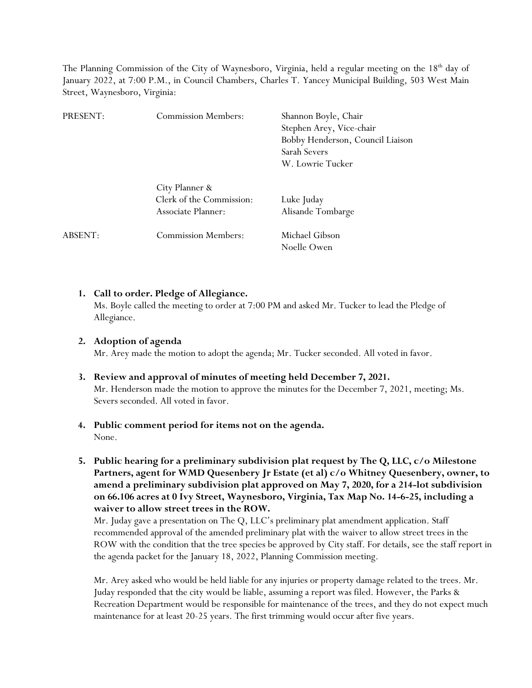The Planning Commission of the City of Waynesboro, Virginia, held a regular meeting on the 18<sup>th</sup> day of January 2022, at 7:00 P.M., in Council Chambers, Charles T. Yancey Municipal Building, 503 West Main Street, Waynesboro, Virginia:

| PRESENT: | <b>Commission Members:</b>                                       | Shannon Boyle, Chair<br>Stephen Arey, Vice-chair<br>Bobby Henderson, Council Liaison<br>Sarah Severs<br>W. Lowrie Tucker |
|----------|------------------------------------------------------------------|--------------------------------------------------------------------------------------------------------------------------|
|          | City Planner &<br>Clerk of the Commission:<br>Associate Planner: | Luke Juday<br>Alisande Tombarge                                                                                          |
| ABSENT:  | <b>Commission Members:</b>                                       | Michael Gibson<br>Noelle Owen                                                                                            |

## **1. Call to order. Pledge of Allegiance.**

Ms. Boyle called the meeting to order at 7:00 PM and asked Mr. Tucker to lead the Pledge of Allegiance.

# **2. Adoption of agenda**

Mr. Arey made the motion to adopt the agenda; Mr. Tucker seconded. All voted in favor.

**3. Review and approval of minutes of meeting held December 7, 2021.**  Mr. Henderson made the motion to approve the minutes for the December 7, 2021, meeting; Ms. Severs seconded. All voted in favor.

### **4. Public comment period for items not on the agenda.**  None.

**5. Public hearing for a preliminary subdivision plat request by The Q, LLC, c/o Milestone Partners, agent for WMD Quesenbery Jr Estate (et al) c/o Whitney Quesenbery, owner, to amend a preliminary subdivision plat approved on May 7, 2020, for a 214-lot subdivision on 66.106 acres at 0 Ivy Street, Waynesboro, Virginia, Tax Map No. 14-6-25, including a waiver to allow street trees in the ROW.** 

Mr. Juday gave a presentation on The Q, LLC's preliminary plat amendment application. Staff recommended approval of the amended preliminary plat with the waiver to allow street trees in the ROW with the condition that the tree species be approved by City staff. For details, see the staff report in the agenda packet for the January 18, 2022, Planning Commission meeting.

Mr. Arey asked who would be held liable for any injuries or property damage related to the trees. Mr. Juday responded that the city would be liable, assuming a report was filed. However, the Parks & Recreation Department would be responsible for maintenance of the trees, and they do not expect much maintenance for at least 20-25 years. The first trimming would occur after five years.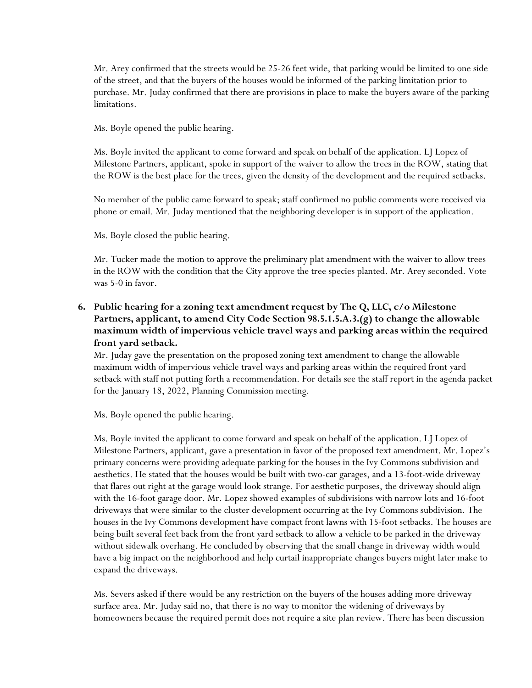Mr. Arey confirmed that the streets would be 25-26 feet wide, that parking would be limited to one side of the street, and that the buyers of the houses would be informed of the parking limitation prior to purchase. Mr. Juday confirmed that there are provisions in place to make the buyers aware of the parking limitations.

Ms. Boyle opened the public hearing.

Ms. Boyle invited the applicant to come forward and speak on behalf of the application. LJ Lopez of Milestone Partners, applicant, spoke in support of the waiver to allow the trees in the ROW, stating that the ROW is the best place for the trees, given the density of the development and the required setbacks.

No member of the public came forward to speak; staff confirmed no public comments were received via phone or email. Mr. Juday mentioned that the neighboring developer is in support of the application.

Ms. Boyle closed the public hearing.

Mr. Tucker made the motion to approve the preliminary plat amendment with the waiver to allow trees in the ROW with the condition that the City approve the tree species planted. Mr. Arey seconded. Vote was 5-0 in favor.

# **6. Public hearing for a zoning text amendment request by The Q, LLC, c/o Milestone Partners, applicant, to amend City Code Section 98.5.1.5.A.3.(g) to change the allowable maximum width of impervious vehicle travel ways and parking areas within the required front yard setback.**

Mr. Juday gave the presentation on the proposed zoning text amendment to change the allowable maximum width of impervious vehicle travel ways and parking areas within the required front yard setback with staff not putting forth a recommendation. For details see the staff report in the agenda packet for the January 18, 2022, Planning Commission meeting.

Ms. Boyle opened the public hearing.

Ms. Boyle invited the applicant to come forward and speak on behalf of the application. LJ Lopez of Milestone Partners, applicant, gave a presentation in favor of the proposed text amendment. Mr. Lopez's primary concerns were providing adequate parking for the houses in the Ivy Commons subdivision and aesthetics. He stated that the houses would be built with two-car garages, and a 13-foot-wide driveway that flares out right at the garage would look strange. For aesthetic purposes, the driveway should align with the 16-foot garage door. Mr. Lopez showed examples of subdivisions with narrow lots and 16-foot driveways that were similar to the cluster development occurring at the Ivy Commons subdivision. The houses in the Ivy Commons development have compact front lawns with 15-foot setbacks. The houses are being built several feet back from the front yard setback to allow a vehicle to be parked in the driveway without sidewalk overhang. He concluded by observing that the small change in driveway width would have a big impact on the neighborhood and help curtail inappropriate changes buyers might later make to expand the driveways.

Ms. Severs asked if there would be any restriction on the buyers of the houses adding more driveway surface area. Mr. Juday said no, that there is no way to monitor the widening of driveways by homeowners because the required permit does not require a site plan review. There has been discussion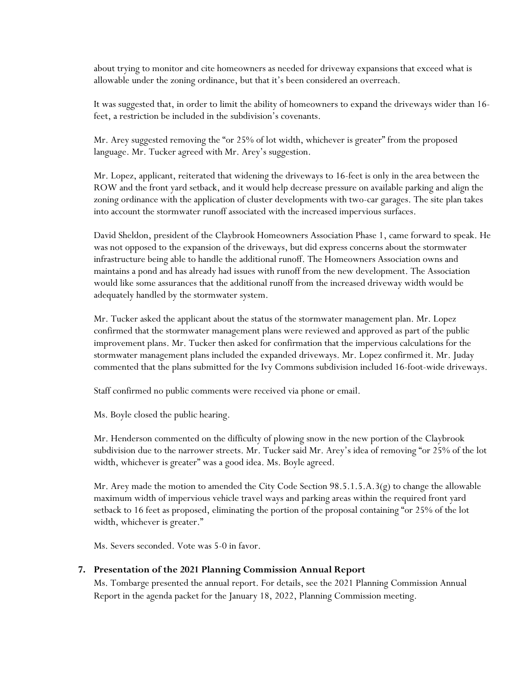about trying to monitor and cite homeowners as needed for driveway expansions that exceed what is allowable under the zoning ordinance, but that it's been considered an overreach.

It was suggested that, in order to limit the ability of homeowners to expand the driveways wider than 16 feet, a restriction be included in the subdivision's covenants.

Mr. Arey suggested removing the "or 25% of lot width, whichever is greater" from the proposed language. Mr. Tucker agreed with Mr. Arey's suggestion.

Mr. Lopez, applicant, reiterated that widening the driveways to 16-feet is only in the area between the ROW and the front yard setback, and it would help decrease pressure on available parking and align the zoning ordinance with the application of cluster developments with two-car garages. The site plan takes into account the stormwater runoff associated with the increased impervious surfaces.

David Sheldon, president of the Claybrook Homeowners Association Phase 1, came forward to speak. He was not opposed to the expansion of the driveways, but did express concerns about the stormwater infrastructure being able to handle the additional runoff. The Homeowners Association owns and maintains a pond and has already had issues with runoff from the new development. The Association would like some assurances that the additional runoff from the increased driveway width would be adequately handled by the stormwater system.

Mr. Tucker asked the applicant about the status of the stormwater management plan. Mr. Lopez confirmed that the stormwater management plans were reviewed and approved as part of the public improvement plans. Mr. Tucker then asked for confirmation that the impervious calculations for the stormwater management plans included the expanded driveways. Mr. Lopez confirmed it. Mr. Juday commented that the plans submitted for the Ivy Commons subdivision included 16-foot-wide driveways.

Staff confirmed no public comments were received via phone or email.

Ms. Boyle closed the public hearing.

Mr. Henderson commented on the difficulty of plowing snow in the new portion of the Claybrook subdivision due to the narrower streets. Mr. Tucker said Mr. Arey's idea of removing "or 25% of the lot width, whichever is greater" was a good idea. Ms. Boyle agreed.

Mr. Arey made the motion to amended the City Code Section 98.5.1.5.A.3(g) to change the allowable maximum width of impervious vehicle travel ways and parking areas within the required front yard setback to 16 feet as proposed, eliminating the portion of the proposal containing "or 25% of the lot width, whichever is greater."

Ms. Severs seconded. Vote was 5-0 in favor.

#### **7. Presentation of the 2021 Planning Commission Annual Report**

Ms. Tombarge presented the annual report. For details, see the 2021 Planning Commission Annual Report in the agenda packet for the January 18, 2022, Planning Commission meeting.